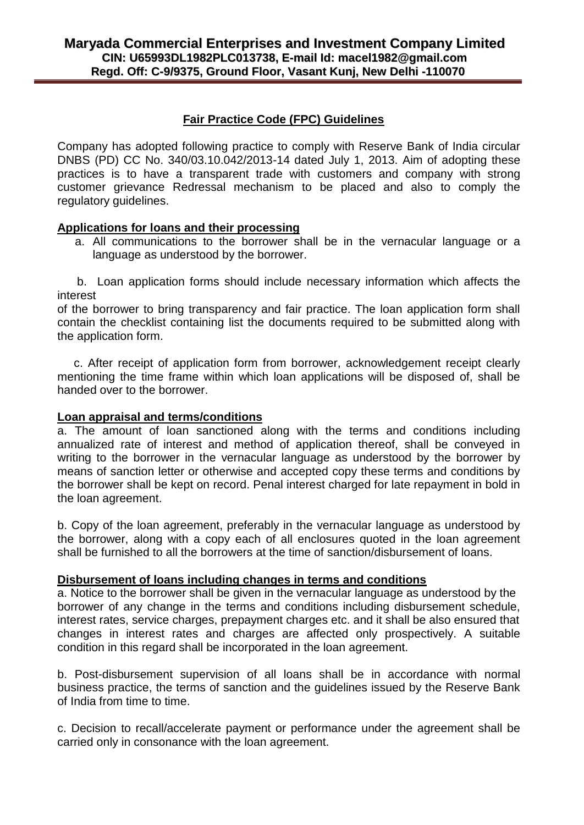# **Fair Practice Code (FPC) Guidelines**

Company has adopted following practice to comply with Reserve Bank of India circular DNBS (PD) CC No. 340/03.10.042/2013-14 dated July 1, 2013. Aim of adopting these practices is to have a transparent trade with customers and company with strong customer grievance Redressal mechanism to be placed and also to comply the regulatory guidelines.

# **Applications for loans and their processing**

a. All communications to the borrower shall be in the vernacular language or a language as understood by the borrower.

 b. Loan application forms should include necessary information which affects the interest

of the borrower to bring transparency and fair practice. The loan application form shall contain the checklist containing list the documents required to be submitted along with the application form.

 c. After receipt of application form from borrower, acknowledgement receipt clearly mentioning the time frame within which loan applications will be disposed of, shall be handed over to the borrower.

### **Loan appraisal and terms/conditions**

a. The amount of loan sanctioned along with the terms and conditions including annualized rate of interest and method of application thereof, shall be conveyed in writing to the borrower in the vernacular language as understood by the borrower by means of sanction letter or otherwise and accepted copy these terms and conditions by the borrower shall be kept on record. Penal interest charged for late repayment in bold in the loan agreement.

b. Copy of the loan agreement, preferably in the vernacular language as understood by the borrower, along with a copy each of all enclosures quoted in the loan agreement shall be furnished to all the borrowers at the time of sanction/disbursement of loans.

# **Disbursement of loans including changes in terms and conditions**

a. Notice to the borrower shall be given in the vernacular language as understood by the borrower of any change in the terms and conditions including disbursement schedule, interest rates, service charges, prepayment charges etc. and it shall be also ensured that changes in interest rates and charges are affected only prospectively. A suitable condition in this regard shall be incorporated in the loan agreement.

b. Post-disbursement supervision of all loans shall be in accordance with normal business practice, the terms of sanction and the guidelines issued by the Reserve Bank of India from time to time.

c. Decision to recall/accelerate payment or performance under the agreement shall be carried only in consonance with the loan agreement.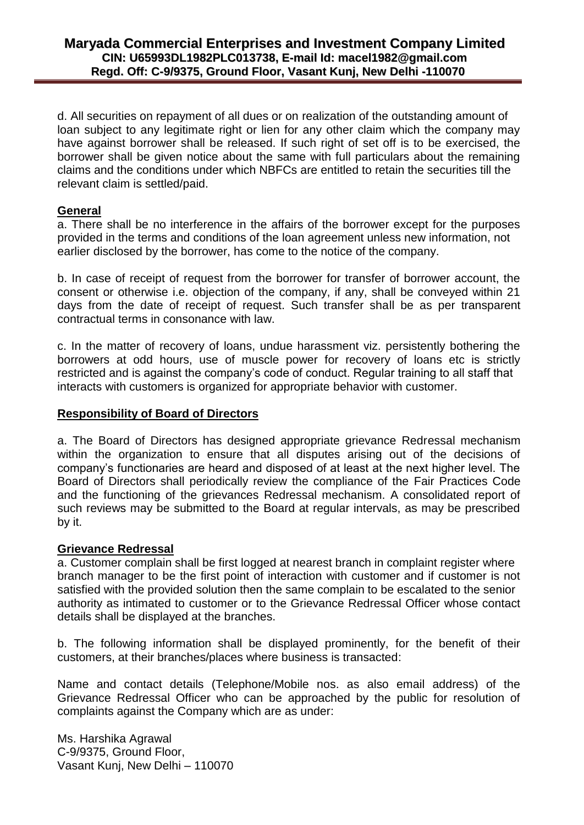d. All securities on repayment of all dues or on realization of the outstanding amount of loan subject to any legitimate right or lien for any other claim which the company may have against borrower shall be released. If such right of set off is to be exercised, the borrower shall be given notice about the same with full particulars about the remaining claims and the conditions under which NBFCs are entitled to retain the securities till the relevant claim is settled/paid.

### **General**

a. There shall be no interference in the affairs of the borrower except for the purposes provided in the terms and conditions of the loan agreement unless new information, not earlier disclosed by the borrower, has come to the notice of the company.

b. In case of receipt of request from the borrower for transfer of borrower account, the consent or otherwise i.e. objection of the company, if any, shall be conveyed within 21 days from the date of receipt of request. Such transfer shall be as per transparent contractual terms in consonance with law.

c. In the matter of recovery of loans, undue harassment viz. persistently bothering the borrowers at odd hours, use of muscle power for recovery of loans etc is strictly restricted and is against the company's code of conduct. Regular training to all staff that interacts with customers is organized for appropriate behavior with customer.

#### **Responsibility of Board of Directors**

a. The Board of Directors has designed appropriate grievance Redressal mechanism within the organization to ensure that all disputes arising out of the decisions of company's functionaries are heard and disposed of at least at the next higher level. The Board of Directors shall periodically review the compliance of the Fair Practices Code and the functioning of the grievances Redressal mechanism. A consolidated report of such reviews may be submitted to the Board at regular intervals, as may be prescribed by it.

#### **Grievance Redressal**

a. Customer complain shall be first logged at nearest branch in complaint register where branch manager to be the first point of interaction with customer and if customer is not satisfied with the provided solution then the same complain to be escalated to the senior authority as intimated to customer or to the Grievance Redressal Officer whose contact details shall be displayed at the branches.

b. The following information shall be displayed prominently, for the benefit of their customers, at their branches/places where business is transacted:

Name and contact details (Telephone/Mobile nos. as also email address) of the Grievance Redressal Officer who can be approached by the public for resolution of complaints against the Company which are as under:

Ms. Harshika Agrawal C-9/9375, Ground Floor, Vasant Kunj, New Delhi – 110070